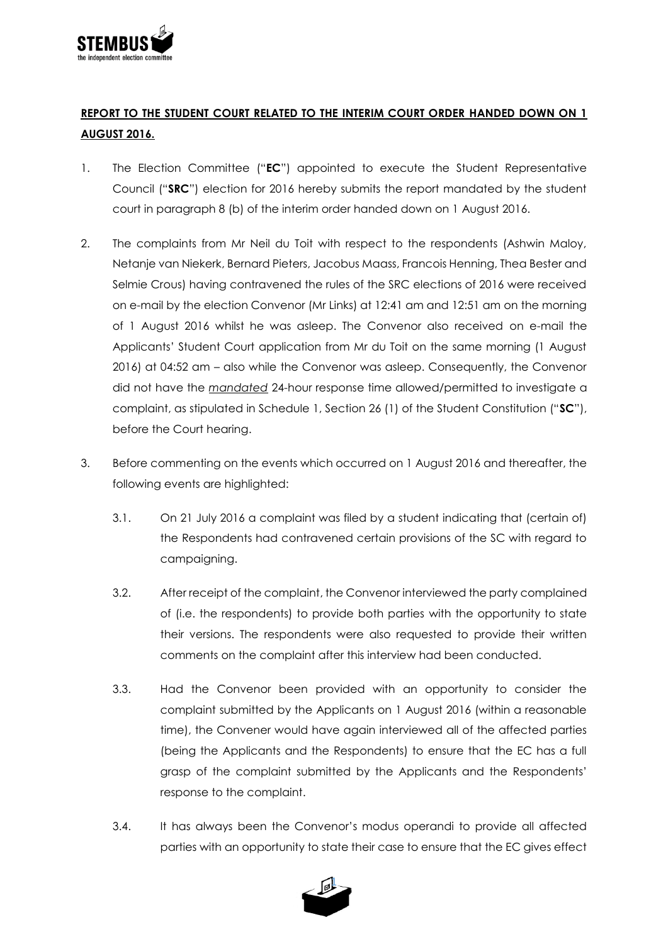

## **REPORT TO THE STUDENT COURT RELATED TO THE INTERIM COURT ORDER HANDED DOWN ON 1 AUGUST 2016.**

- 1. The Election Committee ("**EC**") appointed to execute the Student Representative Council ("**SRC**") election for 2016 hereby submits the report mandated by the student court in paragraph 8 (b) of the interim order handed down on 1 August 2016.
- 2. The complaints from Mr Neil du Toit with respect to the respondents (Ashwin Maloy, Netanje van Niekerk, Bernard Pieters, Jacobus Maass, Francois Henning, Thea Bester and Selmie Crous) having contravened the rules of the SRC elections of 2016 were received on e-mail by the election Convenor (Mr Links) at 12:41 am and 12:51 am on the morning of 1 August 2016 whilst he was asleep. The Convenor also received on e-mail the Applicants' Student Court application from Mr du Toit on the same morning (1 August 2016) at 04:52 am – also while the Convenor was asleep. Consequently, the Convenor did not have the *mandated* 24-hour response time allowed/permitted to investigate a complaint, as stipulated in Schedule 1, Section 26 (1) of the Student Constitution ("**SC**"), before the Court hearing.
- 3. Before commenting on the events which occurred on 1 August 2016 and thereafter, the following events are highlighted:
	- 3.1. On 21 July 2016 a complaint was filed by a student indicating that (certain of) the Respondents had contravened certain provisions of the SC with regard to campaigning.
	- 3.2. After receipt of the complaint, the Convenor interviewed the party complained of (i.e. the respondents) to provide both parties with the opportunity to state their versions. The respondents were also requested to provide their written comments on the complaint after this interview had been conducted.
	- 3.3. Had the Convenor been provided with an opportunity to consider the complaint submitted by the Applicants on 1 August 2016 (within a reasonable time), the Convener would have again interviewed all of the affected parties (being the Applicants and the Respondents) to ensure that the EC has a full grasp of the complaint submitted by the Applicants and the Respondents' response to the complaint.
	- 3.4. It has always been the Convenor's modus operandi to provide all affected parties with an opportunity to state their case to ensure that the EC gives effect

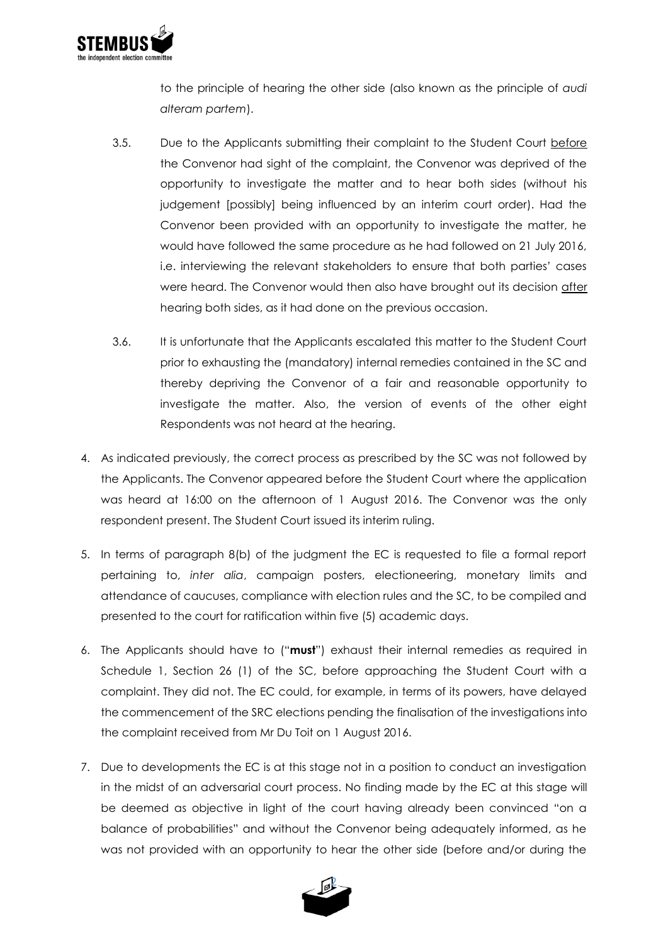

to the principle of hearing the other side (also known as the principle of *audi alteram partem*).

- 3.5. Due to the Applicants submitting their complaint to the Student Court before the Convenor had sight of the complaint, the Convenor was deprived of the opportunity to investigate the matter and to hear both sides (without his judgement [possibly] being influenced by an interim court order). Had the Convenor been provided with an opportunity to investigate the matter, he would have followed the same procedure as he had followed on 21 July 2016, i.e. interviewing the relevant stakeholders to ensure that both parties' cases were heard. The Convenor would then also have brought out its decision after hearing both sides, as it had done on the previous occasion.
- 3.6. It is unfortunate that the Applicants escalated this matter to the Student Court prior to exhausting the (mandatory) internal remedies contained in the SC and thereby depriving the Convenor of a fair and reasonable opportunity to investigate the matter. Also, the version of events of the other eight Respondents was not heard at the hearing.
- 4. As indicated previously, the correct process as prescribed by the SC was not followed by the Applicants. The Convenor appeared before the Student Court where the application was heard at 16:00 on the afternoon of 1 August 2016. The Convenor was the only respondent present. The Student Court issued its interim ruling.
- 5. In terms of paragraph 8(b) of the judgment the EC is requested to file a formal report pertaining to, *inter alia*, campaign posters, electioneering, monetary limits and attendance of caucuses, compliance with election rules and the SC, to be compiled and presented to the court for ratification within five (5) academic days.
- 6. The Applicants should have to ("**must**") exhaust their internal remedies as required in Schedule 1, Section 26 (1) of the SC, before approaching the Student Court with a complaint. They did not. The EC could, for example, in terms of its powers, have delayed the commencement of the SRC elections pending the finalisation of the investigations into the complaint received from Mr Du Toit on 1 August 2016.
- 7. Due to developments the EC is at this stage not in a position to conduct an investigation in the midst of an adversarial court process. No finding made by the EC at this stage will be deemed as objective in light of the court having already been convinced "on a balance of probabilities" and without the Convenor being adequately informed, as he was not provided with an opportunity to hear the other side (before and/or during the